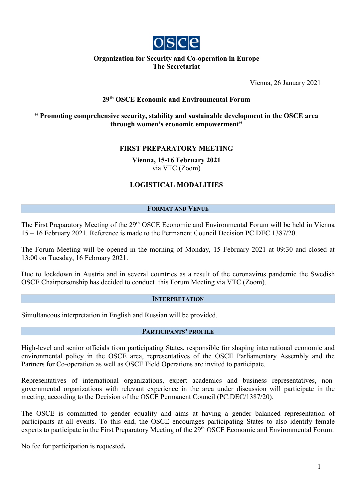

### **Organization for Security and Co-operation in Europe The Secretariat**

Vienna, 26 January 2021

# **29th OSCE Economic and Environmental Forum**

### **" Promoting comprehensive security, stability and sustainable development in the OSCE area through women's economic empowerment"**

# **FIRST PREPARATORY MEETING**

**Vienna, 15-16 February 2021** via VTC (Zoom)

# **LOGISTICAL MODALITIES**

### **FORMAT AND VENUE**

The First Preparatory Meeting of the 29<sup>th</sup> OSCE Economic and Environmental Forum will be held in Vienna 15 – 16 February 2021. Reference is made to the Permanent Council Decision PC.DEC.1387/20.

The Forum Meeting will be opened in the morning of Monday, 15 February 2021 at 09:30 and closed at 13:00 on Tuesday, 16 February 2021.

Due to lockdown in Austria and in several countries as a result of the coronavirus pandemic the Swedish OSCE Chairpersonship has decided to conduct this Forum Meeting via VTC (Zoom).

### **INTERPRETATION**

Simultaneous interpretation in English and Russian will be provided.

### **PARTICIPANTS' PROFILE**

High-level and senior officials from participating States, responsible for shaping international economic and environmental policy in the OSCE area, representatives of the OSCE Parliamentary Assembly and the Partners for Co-operation as well as OSCE Field Operations are invited to participate.

Representatives of international organizations, expert academics and business representatives, nongovernmental organizations with relevant experience in the area under discussion will participate in the meeting, according to the Decision of the OSCE Permanent Council (PC.DEC/1387/20).

The OSCE is committed to gender equality and aims at having a gender balanced representation of participants at all events. To this end, the OSCE encourages participating States to also identify female experts to participate in the First Preparatory Meeting of the 29<sup>th</sup> OSCE Economic and Environmental Forum.

No fee for participation is requested**.**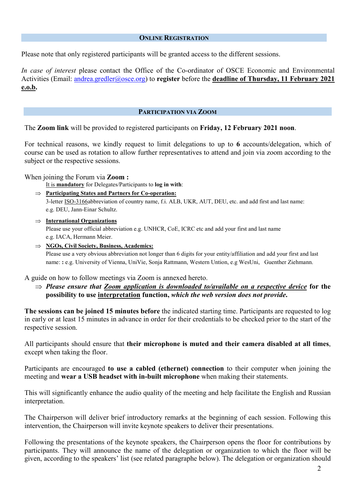### **ONLINE REGISTRATION**

Please note that only registered participants will be granted access to the different sessions.

*In case of interest* please contact the Office of the Co-ordinator of OSCE Economic and Environmental Activities (Email: [andrea.gredler@osce.org\)](mailto:andrea.gredler@osce.org) to **register** before the **deadline of Thursday, 11 February 2021 e.o.b.**

#### **PARTICIPATION VIA ZOOM**

The **Zoom link** will be provided to registered participants on **Friday, 12 February 2021 noon**.

For technical reasons, we kindly request to limit delegations to up to **6** accounts/delegation, which of course can be used as rotation to allow further representatives to attend and join via zoom according to the subject or the respective sessions.

When joining the Forum via **Zoom :**

It is **mandatory** for Delegates/Participants to **log in with**:

⇒ **Participating States and Partners for Co-operation:** 

3-letter [ISO-3166a](http://mail.eventsairmail.com/ls/click?upn=FckoALiza-2FS8G80J35nx-2FSDUMRnGFkwrzQ5GDREJv7-2F6X5gxDzEaZHwH4cJqT3oUbYqrrX2TC-2FBMlS1Gh2wxQg-3D-3DEHjD_d7nvhjp3mpBG6dZlNCdBd-2BFZxIyhRpPvbrnpx3U2jkjk0xonhsIWbM2QprugkkNPSOZY1HhV04KMH8rXMHzAPOI3R-2FIR-2BtW95Y15vxjJwxSYEw9Riz35xTLaBznPwJMIX7ydoLOQs4LUE4htr01bUPvrDWK5LPmPVacRvzb7y7Rn7CWiZEh2R3F-2FY9naQ-2B6ysMAKwz0P1XMpw4uhBndLMonooEnyBn-2BWGvPO-2F-2F6e47zqvd6PhDGWmq6d1d-2F-2FsjrWOnmYeOQEsRSg81LAntS1JqYA9cJ7UHrTwT5HY41BJE72TcpH-2Fg2tpqg9Ys1cGQI5FGrsDd-2F6ES9e5bzMjVyBKw-3D-3D)bbreviation of country name, f.i. ALB, UKR, AUT, DEU, etc. and add first and last name: e.g. DEU, Jann-Einar Schultz.

- ⇒ **International Organizations** Please use your official abbreviation e.g. UNHCR, CoE, ICRC etc and add your first and last name e.g. IACA, Hermann Meier.
- ⇒ **NGOs, Civil Society, Business, Academics:**

Please use a very obvious abbreviation not longer than 6 digits for your entity/affiliation and add your first and last name: **:** e.g. University of Vienna, UniVie, Sonja Rattmann, Western Untion, e.g WesUni, Guenther Ziehmann.

A guide on how to follow meetings via Zoom is annexed hereto.

⇒ *Please ensure that Zoom application is downloaded to/available on a respective device* **for the possibility to use interpretation function,** *which the web version does not provide***.**

**The sessions can be joined 15 minutes before** the indicated starting time. Participants are requested to log in early or at least 15 minutes in advance in order for their credentials to be checked prior to the start of the respective session.

All participants should ensure that **their microphone is muted and their camera disabled at all times**, except when taking the floor.

Participants are encouraged **to use a cabled (ethernet) connection** to their computer when joining the meeting and **wear a USB headset with in-built microphone** when making their statements.

This will significantly enhance the audio quality of the meeting and help facilitate the English and Russian interpretation.

The Chairperson will deliver brief introductory remarks at the beginning of each session. Following this intervention, the Chairperson will invite keynote speakers to deliver their presentations.

Following the presentations of the keynote speakers, the Chairperson opens the floor for contributions by participants. They will announce the name of the delegation or organization to which the floor will be given, according to the speakers' list (see related paragraphe below). The delegation or organization should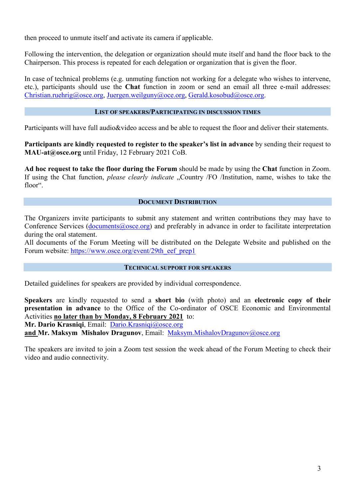then proceed to unmute itself and activate its camera if applicable.

Following the intervention, the delegation or organization should mute itself and hand the floor back to the Chairperson. This process is repeated for each delegation or organization that is given the floor.

In case of technical problems (e.g. unmuting function not working for a delegate who wishes to intervene, etc.), participants should use the **Chat** function in zoom or send an email all three e-mail addresses: [Christian.ruehrig@osce.org,](mailto:Christian.ruehrig@osce.org) [Juergen.weilguny@oce.org,](mailto:Juergen.weilguny@oce.org) [Gerald.kosobud@osce.org.](mailto:Gerald.kosobud@osce.org)

# **LIST OF SPEAKERS/PARTICIPATING IN DISCUSSION TIMES**

Participants will have full audio&video access and be able to request the floor and deliver their statements.

**Participants are kindly requested to register to the speaker's list in advance** by sending their request to **MAU-at@osce.org** until Friday, 12 February 2021 CoB.

**Ad hoc request to take the floor during the Forum** should be made by using the **Chat** function in Zoom. If using the Chat function, *please clearly indicate* "Country /FO /Institution, name, wishes to take the floor".

# **DOCUMENT DISTRIBUTION**

The Organizers invite participants to submit any statement and written contributions they may have to Conference Services [\(documents@osce.org\)](mailto:documents@osce.org) and preferably in advance in order to facilitate interpretation during the oral statement.

All documents of the Forum Meeting will be distributed on the Delegate Website and published on the Forum website: [https://www.osce.org/event/29th\\_eef\\_prep1](https://www.osce.org/event/29th_eef_prep1)

### **TECHNICAL SUPPORT FOR SPEAKERS**

Detailed guidelines for speakers are provided by individual correspondence.

**Speakers** are kindly requested to send a **short bio** (with photo) and an **electronic copy of their presentation in advance** to the Office of the Co-ordinator of OSCE Economic and Environmental Activities **no later than by Monday, 8 February 2021** to:

**Mr. Dario Krasniqi**, Email: [Dario.Krasniqi@osce.org](mailto:Dario.Krasniqi@osce.org)

and Mr. Maksym Mishalov Dragunov, Email: [Maksym.MishalovDragunov@osce.org](mailto:Maksym.MishalovDragunov@osce.org)

The speakers are invited to join a Zoom test session the week ahead of the Forum Meeting to check their video and audio connectivity.